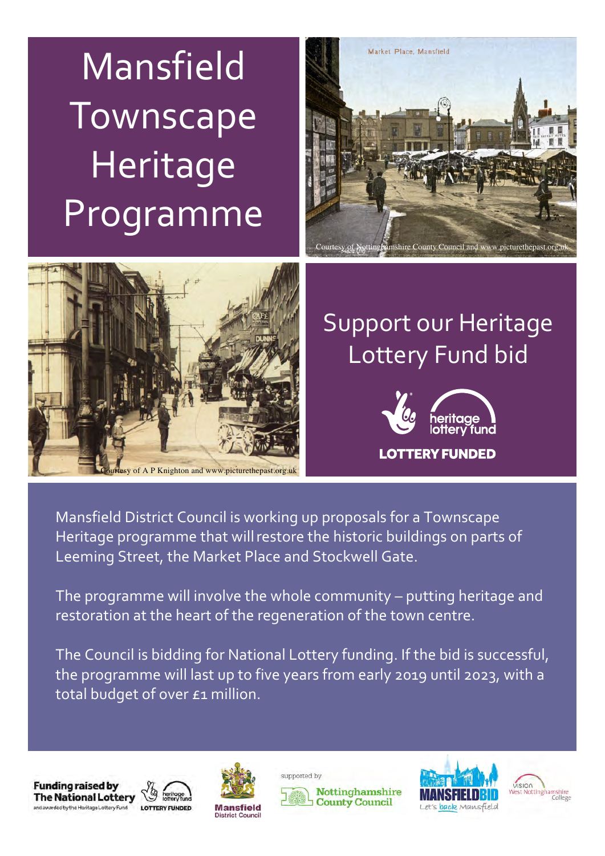# Mansfield Townscape Heritage Programme





#### Support our Heritage Lottery Fund bid



Mansfield District Council is working up proposals for a Townscape Heritage programme that willrestore the historic buildings on parts of Leeming Street, the Market Place and Stockwell Gate.

The programme will involve the whole community – putting heritage and restoration at the heart of the regeneration of the town centre.

The Council is bidding for National Lottery funding. If the bid is successful, the programme will last up to five years from early 2019 until 2023, with a total budget of over £1 million.











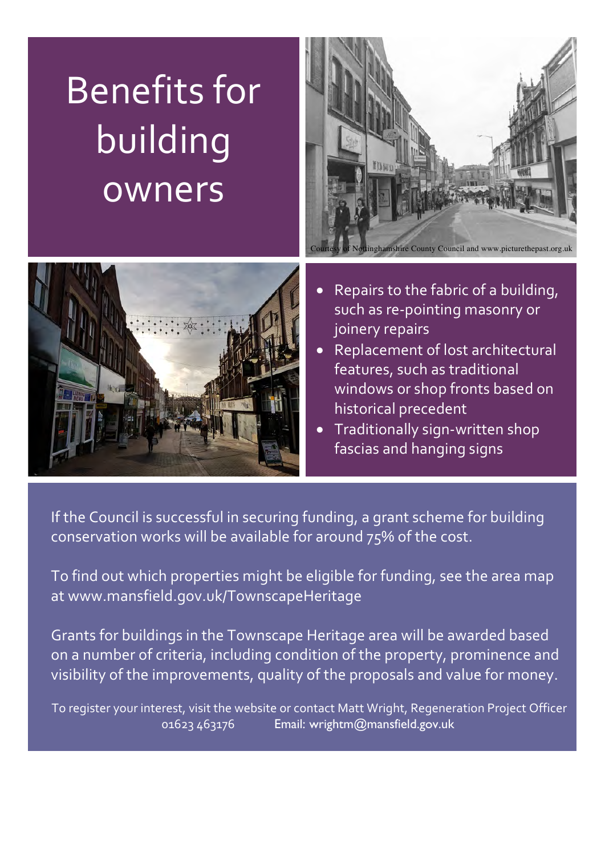### Benefits for building owners





- Repairs to the fabric of a building, such as re-pointing masonry or joinery repairs
- Replacement of lost architectural features, such as traditional windows or shop fronts based on historical precedent
- Traditionally sign-written shop fascias and hanging signs

If the Council is successful in securing funding, a grant scheme for building conservation works will be available for around 75% of the cost.

To find out which properties might be eligible for funding, see the area map at www.mansfield.gov.uk/TownscapeHeritage

Grants for buildings in the Townscape Heritage area will be awarded based on a number of criteria, including condition of the property, prominence and visibility of the improvements, quality of the proposals and value for money.

To register your interest, visit the website or contact Matt Wright, Regeneration Project Officer 01623 463176 Email: wrightm@mansfield.gov.uk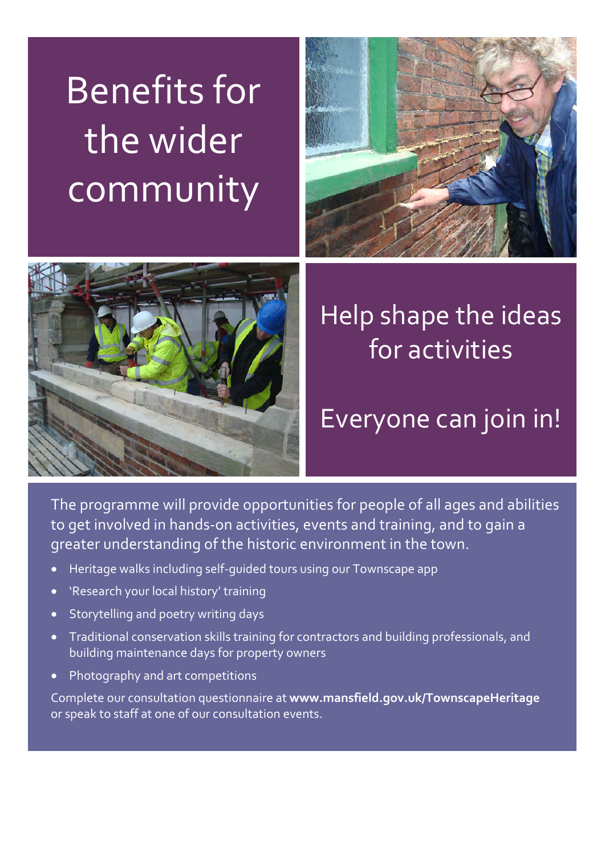# Benefits for the wider community





### Help shape the ideas for activities

#### Everyone can join in!

The programme will provide opportunities for people of all ages and abilities to get involved in hands-on activities, events and training, and to gain a greater understanding of the historic environment in the town.

- Heritage walks including self-guided tours using our Townscape app
- 'Research your local history' training
- Storytelling and poetry writing days
- Traditional conservation skills training for contractors and building professionals, and building maintenance days for property owners
- Photography and art competitions

Complete our consultation questionnaire at **www.mansfield.gov.uk/TownscapeHeritage** or speak to staff at one of our consultation events.